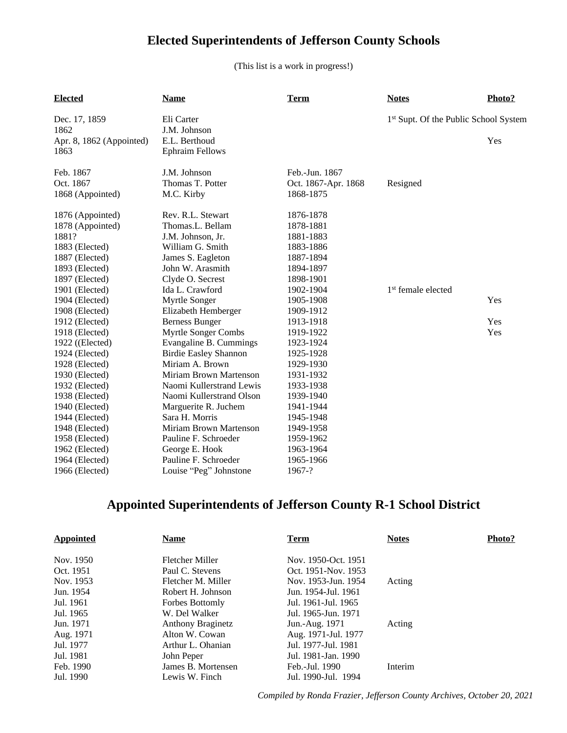## **Elected Superintendents of Jefferson County Schools**

(This list is a work in progress!)

| <b>Elected</b>           | <b>Name</b>                  | <b>Term</b>         | <b>Notes</b>                                      | Photo? |
|--------------------------|------------------------------|---------------------|---------------------------------------------------|--------|
| Dec. 17, 1859            | Eli Carter                   |                     | 1 <sup>st</sup> Supt. Of the Public School System |        |
| 1862                     | J.M. Johnson                 |                     |                                                   |        |
| Apr. 8, 1862 (Appointed) | E.L. Berthoud                |                     |                                                   | Yes    |
| 1863                     | <b>Ephraim Fellows</b>       |                     |                                                   |        |
| Feb. 1867                | J.M. Johnson                 | Feb.-Jun. 1867      |                                                   |        |
| Oct. 1867                | Thomas T. Potter             | Oct. 1867-Apr. 1868 | Resigned                                          |        |
| 1868 (Appointed)         | M.C. Kirby                   | 1868-1875           |                                                   |        |
| 1876 (Appointed)         | Rev. R.L. Stewart            | 1876-1878           |                                                   |        |
| 1878 (Appointed)         | Thomas.L. Bellam             | 1878-1881           |                                                   |        |
| 1881?                    | J.M. Johnson, Jr.            | 1881-1883           |                                                   |        |
| 1883 (Elected)           | William G. Smith             | 1883-1886           |                                                   |        |
| 1887 (Elected)           | James S. Eagleton            | 1887-1894           |                                                   |        |
| 1893 (Elected)           | John W. Arasmith             | 1894-1897           |                                                   |        |
| 1897 (Elected)           | Clyde O. Secrest             | 1898-1901           |                                                   |        |
| 1901 (Elected)           | Ida L. Crawford              | 1902-1904           | 1 <sup>st</sup> female elected                    |        |
| 1904 (Elected)           | Myrtle Songer                | 1905-1908           |                                                   | Yes    |
| 1908 (Elected)           | Elizabeth Hemberger          | 1909-1912           |                                                   |        |
| 1912 (Elected)           | <b>Berness Bunger</b>        | 1913-1918           |                                                   | Yes    |
| 1918 (Elected)           | <b>Myrtle Songer Combs</b>   | 1919-1922           |                                                   | Yes    |
| 1922 ((Elected)          | Evangaline B. Cummings       | 1923-1924           |                                                   |        |
| 1924 (Elected)           | <b>Birdie Easley Shannon</b> | 1925-1928           |                                                   |        |
| 1928 (Elected)           | Miriam A. Brown              | 1929-1930           |                                                   |        |
| 1930 (Elected)           | Miriam Brown Martenson       | 1931-1932           |                                                   |        |
| 1932 (Elected)           | Naomi Kullerstrand Lewis     | 1933-1938           |                                                   |        |
| 1938 (Elected)           | Naomi Kullerstrand Olson     | 1939-1940           |                                                   |        |
| 1940 (Elected)           | Marguerite R. Juchem         | 1941-1944           |                                                   |        |
| 1944 (Elected)           | Sara H. Morris               | 1945-1948           |                                                   |        |
| 1948 (Elected)           | Miriam Brown Martenson       | 1949-1958           |                                                   |        |
| 1958 (Elected)           | Pauline F. Schroeder         | 1959-1962           |                                                   |        |
| 1962 (Elected)           | George E. Hook               | 1963-1964           |                                                   |        |
| 1964 (Elected)           | Pauline F. Schroeder         | 1965-1966           |                                                   |        |
| 1966 (Elected)           | Louise "Peg" Johnstone       | 1967-?              |                                                   |        |

## **Appointed Superintendents of Jefferson County R-1 School District**

| <b>Appointed</b> | Name                     | <b>Term</b>         | <b>Notes</b> | <b>Photo?</b> |
|------------------|--------------------------|---------------------|--------------|---------------|
| Nov. 1950        | Fletcher Miller          | Nov. 1950-Oct. 1951 |              |               |
| Oct. 1951        | Paul C. Stevens          | Oct. 1951-Nov. 1953 |              |               |
| Nov. 1953        | Fletcher M. Miller       | Nov. 1953-Jun. 1954 | Acting       |               |
| Jun. 1954        | Robert H. Johnson        | Jun. 1954-Jul. 1961 |              |               |
| Jul. 1961        | Forbes Bottomly          | Jul. 1961-Jul. 1965 |              |               |
| Jul. 1965        | W. Del Walker            | Jul. 1965-Jun. 1971 |              |               |
| Jun. 1971        | <b>Anthony Braginetz</b> | Jun.-Aug. 1971      | Acting       |               |
| Aug. 1971        | Alton W. Cowan           | Aug. 1971-Jul. 1977 |              |               |
| Jul. 1977        | Arthur L. Ohanian        | Jul. 1977-Jul. 1981 |              |               |
| Jul. 1981        | John Peper               | Jul. 1981-Jan. 1990 |              |               |
| Feb. 1990        | James B. Mortensen       | Feb.-Jul. 1990      | Interim      |               |
| Jul. 1990        | Lewis W. Finch           | Jul. 1990-Jul. 1994 |              |               |

*Compiled by Ronda Frazier, Jefferson County Archives, October 20, 2021*